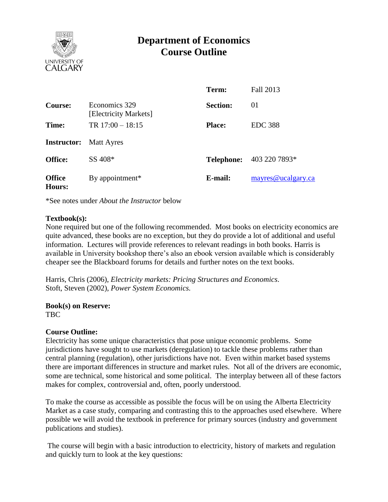

# **Department of Economics Course Outline**

|                                |                                        | Term:             | Fall 2013          |
|--------------------------------|----------------------------------------|-------------------|--------------------|
| Course:                        | Economics 329<br>[Electricity Markets] | <b>Section:</b>   | 01                 |
| Time:                          | TR $17:00 - 18:15$                     | <b>Place:</b>     | <b>EDC</b> 388     |
| <b>Instructor:</b> Matt Ayres  |                                        |                   |                    |
| <b>Office:</b>                 | SS 408*                                | <b>Telephone:</b> | 403 220 7893*      |
| <b>Office</b><br><b>Hours:</b> | By appointment <sup>*</sup>            | E-mail:           | mayres@ucalgary.ca |

\*See notes under *About the Instructor* below

#### **Textbook(s):**

None required but one of the following recommended. Most books on electricity economics are quite advanced, these books are no exception, but they do provide a lot of additional and useful information. Lectures will provide references to relevant readings in both books. Harris is available in University bookshop there's also an ebook version available which is considerably cheaper see the Blackboard forums for details and further notes on the text books.

Harris, Chris (2006), *Electricity markets: Pricing Structures and Economics*. Stoft, Steven (2002), *Power System Economics.*

**Book(s) on Reserve:** TBC

#### **Course Outline:**

Electricity has some unique characteristics that pose unique economic problems. Some jurisdictions have sought to use markets (deregulation) to tackle these problems rather than central planning (regulation), other jurisdictions have not. Even within market based systems there are important differences in structure and market rules. Not all of the drivers are economic, some are technical, some historical and some political. The interplay between all of these factors makes for complex, controversial and, often, poorly understood.

To make the course as accessible as possible the focus will be on using the Alberta Electricity Market as a case study, comparing and contrasting this to the approaches used elsewhere. Where possible we will avoid the textbook in preference for primary sources (industry and government publications and studies).

The course will begin with a basic introduction to electricity, history of markets and regulation and quickly turn to look at the key questions: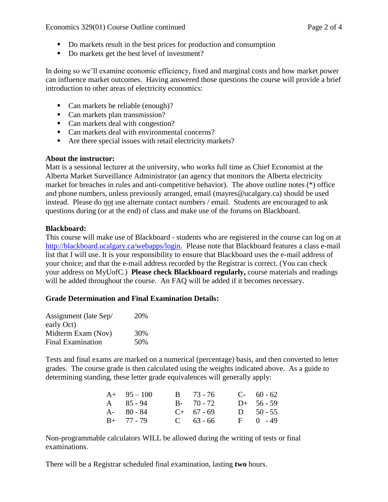- Do markets result in the best prices for production and consumption
- Do markets get the best level of investment?

In doing so we'll examine economic efficiency, fixed and marginal costs and how market power can influence market outcomes. Having answered those questions the course will provide a brief introduction to other areas of electricity economics:

- Can markets be reliable (enough)?
- Can markets plan transmission?
- Can markets deal with congestion?
- Can markets deal with environmental concerns?
- Are there special issues with retail electricity markets?

# **About the instructor:**

Matt is a sessional lecturer at the university, who works full time as Chief Economist at the Alberta Market Surveillance Administrator (an agency that monitors the Alberta electricity market for breaches in rules and anti-competitive behavior). The above outline notes (\*) office and phone numbers, unless previously arranged, email (mayres@ucalgary.ca) should be used instead. Please do not use alternate contact numbers / email. Students are encouraged to ask questions during (or at the end) of class and make use of the forums on Blackboard.

# **Blackboard:**

This course will make use of Blackboard - students who are registered in the course can log on at [http://blackboard.ucalgary.ca/webapps/login.](http://blackboard.ucalgary.ca/webapps/login) Please note that Blackboard features a class e-mail list that I will use. It is your responsibility to ensure that Blackboard uses the e-mail address of your choice; and that the e-mail address recorded by the Registrar is correct. (You can check your address on MyUofC.) **Please check Blackboard regularly,** course materials and readings will be added throughout the course. An FAQ will be added if it becomes necessary.

# **Grade Determination and Final Examination Details:**

| Assignment (late Sep/    | 20% |
|--------------------------|-----|
| early Oct)               |     |
| Midterm Exam (Nov)       | 30% |
| <b>Final Examination</b> | 50% |

Tests and final exams are marked on a numerical (percentage) basis, and then converted to letter grades. The course grade is then calculated using the weights indicated above. As a guide to determining standing, these letter grade equivalences will generally apply:

| $A+ 95-100$   | $B = 73 - 76$ | $C-60-62$    |
|---------------|---------------|--------------|
| A 85-94       | $B - 70 - 72$ | $D+ 56-59$   |
| $A - 80 - 84$ | $C+ 67 - 69$  | D $50 - 55$  |
| $B+ 77 - 79$  | $C = 63 - 66$ | $F = 0 - 49$ |

Non-programmable calculators WILL be allowed during the writing of tests or final examinations.

There will be a Registrar scheduled final examination, lasting **two** hours.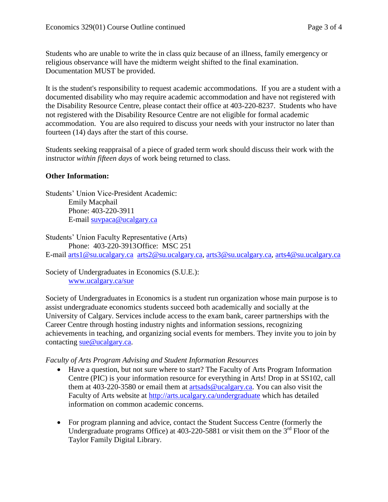Students who are unable to write the in class quiz because of an illness, family emergency or religious observance will have the midterm weight shifted to the final examination. Documentation MUST be provided.

It is the student's responsibility to request academic accommodations. If you are a student with a documented disability who may require academic accommodation and have not registered with the Disability Resource Centre, please contact their office at 403-220-8237. Students who have not registered with the Disability Resource Centre are not eligible for formal academic accommodation. You are also required to discuss your needs with your instructor no later than fourteen (14) days after the start of this course.

Students seeking reappraisal of a piece of graded term work should discuss their work with the instructor *within fifteen days* of work being returned to class.

#### **Other Information:**

Students' Union Vice-President Academic: Emily Macphail Phone: 403-220-3911 E-mail [suvpaca@ucalgary.ca](mailto:subpaca@ucalgary.ca)

Students' Union Faculty Representative (Arts) Phone: 403-220-3913Office: MSC 251 E-mail [arts1@su.ucalgary.ca](mailto:arts1@su.ucalgary.ca) [arts2@su.ucalgary.ca,](mailto:arts2@su.ucalgary.ca) [arts3@su.ucalgary.ca,](mailto:arts3@su.ucalgary.ca) [arts4@su.ucalgary.ca](mailto:arts4@su.ucalgary.ca)

Society of Undergraduates in Economics (S.U.E.): [www.ucalgary.ca/sue](http://www.fp.ucalgary.ca/econ)

Society of Undergraduates in Economics is a student run organization whose main purpose is to assist undergraduate economics students succeed both academically and socially at the University of Calgary. Services include access to the exam bank, career partnerships with the Career Centre through hosting industry nights and information sessions, recognizing achievements in teaching, and organizing social events for members. They invite you to join by contacting [sue@ucalgary.ca.](mailto:sue@ucalgary.ca)

#### *Faculty of Arts Program Advising and Student Information Resources*

- Have a question, but not sure where to start? The Faculty of Arts Program Information Centre (PIC) is your information resource for everything in Arts! Drop in at SS102, call them at 403-220-3580 or email them at  $\frac{\text{artsads@ucalgary.ca.}}{\text{Qucalgary.ca.}}$  You can also visit the Faculty of Arts website at<http://arts.ucalgary.ca/undergraduate> which has detailed information on common academic concerns.
- For program planning and advice, contact the Student Success Centre (formerly the Undergraduate programs Office) at  $403-220-5881$  or visit them on the  $3<sup>rd</sup>$  Floor of the Taylor Family Digital Library.